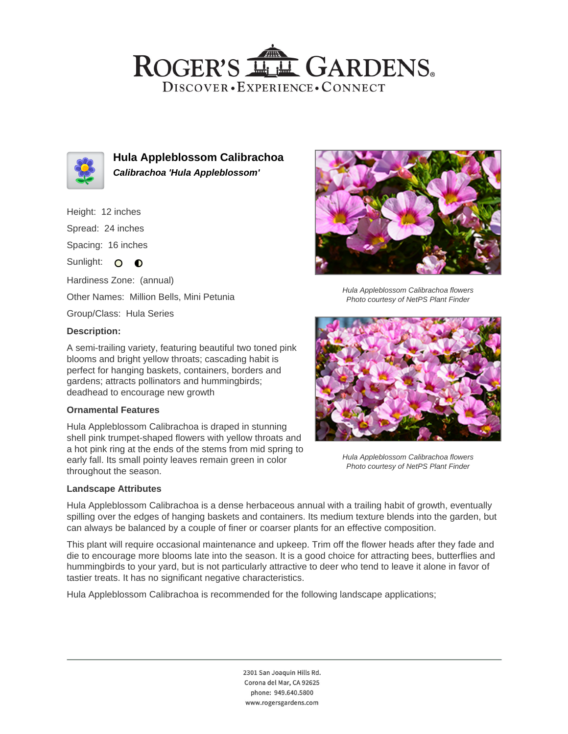## ROGER'S LL GARDENS. DISCOVER · EXPERIENCE · CONNECT



**Hula Appleblossom Calibrachoa Calibrachoa 'Hula Appleblossom'**

- Height: 12 inches
- Spread: 24 inches

Spacing: 16 inches

Sunlight: O O

Hardiness Zone: (annual)

Other Names: Million Bells, Mini Petunia

Group/Class: Hula Series

## **Description:**

A semi-trailing variety, featuring beautiful two toned pink blooms and bright yellow throats; cascading habit is perfect for hanging baskets, containers, borders and gardens; attracts pollinators and hummingbirds; deadhead to encourage new growth

## **Ornamental Features**

Hula Appleblossom Calibrachoa is draped in stunning shell pink trumpet-shaped flowers with yellow throats and a hot pink ring at the ends of the stems from mid spring to early fall. Its small pointy leaves remain green in color throughout the season.

#### **Landscape Attributes**



Hula Appleblossom Calibrachoa flowers Photo courtesy of NetPS Plant Finder



Hula Appleblossom Calibrachoa flowers Photo courtesy of NetPS Plant Finder

Hula Appleblossom Calibrachoa is a dense herbaceous annual with a trailing habit of growth, eventually spilling over the edges of hanging baskets and containers. Its medium texture blends into the garden, but can always be balanced by a couple of finer or coarser plants for an effective composition.

This plant will require occasional maintenance and upkeep. Trim off the flower heads after they fade and die to encourage more blooms late into the season. It is a good choice for attracting bees, butterflies and hummingbirds to your yard, but is not particularly attractive to deer who tend to leave it alone in favor of tastier treats. It has no significant negative characteristics.

Hula Appleblossom Calibrachoa is recommended for the following landscape applications;

2301 San Joaquin Hills Rd. Corona del Mar, CA 92625 phone: 949.640.5800 www.rogersgardens.com